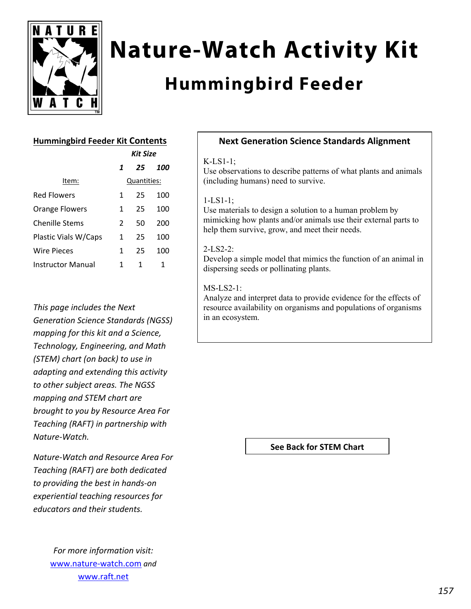

# **Nature-Watch Activity Kit**

# **Hummingbird Feeder**

# **Hummingbird Feeder Kit Contents**

|                       | Kit Size |             |     |
|-----------------------|----------|-------------|-----|
|                       | 1        | 25          | 100 |
| Item:                 |          | Quantities: |     |
| <b>Red Flowers</b>    | 1        | 25          | 100 |
| <b>Orange Flowers</b> | 1        | 25          | 100 |
| <b>Chenille Stems</b> | 2        | 50          | 200 |
| Plastic Vials W/Caps  | 1        | 25          | 100 |
| Wire Pieces           | 1        | 25          | 100 |
| Instructor Manual     | 1        | 1           | 1   |

*This page includes the Next Generation Science Standards (NGSS) mapping for this kit and a Science, Technology, Engineering, and Math (STEM) chart (on back) to use in adapting and extending this activity to other subject areas. The NGSS mapping and STEM chart are brought to you by Resource Area For Teaching (RAFT) in partnership with Nature‐Watch.* 

*Nature‐Watch and Resource Area For Teaching (RAFT) are both dedicated to providing the best in hands‐on experiential teaching resources for educators and their students.*

> *For more information visit:* www.nature‐watch.com *and* www.raft.net

## **Next Generation Science Standards Alignment**

#### K-LS1-1;

Use observations to describe patterns of what plants and animals (including humans) need to survive.

#### 1-LS1-1;

Use materials to design a solution to a human problem by mimicking how plants and/or animals use their external parts to help them survive, grow, and meet their needs.

#### 2-LS2-2:

Develop a simple model that mimics the function of an animal in dispersing seeds or pollinating plants.

### MS-LS2-1:

Analyze and interpret data to provide evidence for the effects of resource availability on organisms and populations of organisms in an ecosystem.

**See Back for STEM Chart**